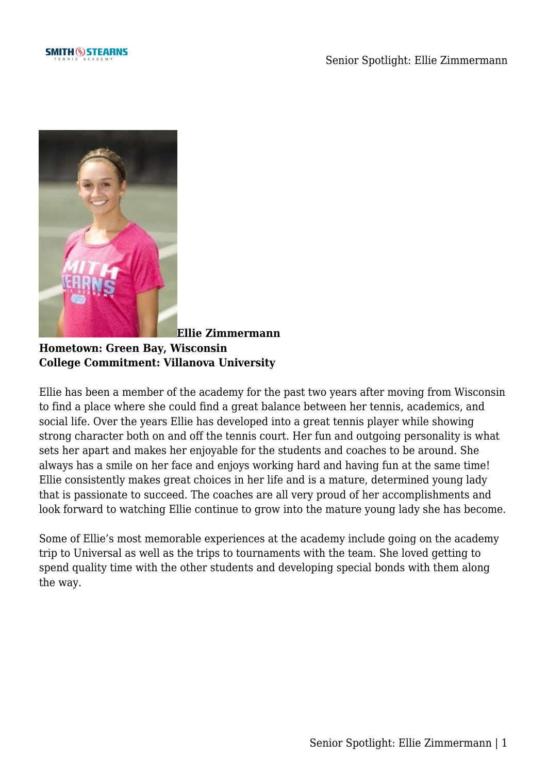



**[E](https://www.smithstearns.com/wp-content/uploads/SmithStern__36-1.jpg)llie Zimmermann**

**Hometown: Green Bay, Wisconsin College Commitment: Villanova University**

Ellie has been a member of the academy for the past two years after moving from Wisconsin to find a place where she could find a great balance between her tennis, academics, and social life. Over the years Ellie has developed into a great tennis player while showing strong character both on and off the tennis court. Her fun and outgoing personality is what sets her apart and makes her enjoyable for the students and coaches to be around. She always has a smile on her face and enjoys working hard and having fun at the same time! Ellie consistently makes great choices in her life and is a mature, determined young lady that is passionate to succeed. The coaches are all very proud of her accomplishments and look forward to watching Ellie continue to grow into the mature young lady she has become.

Some of Ellie's most memorable experiences at the academy include going on the academy trip to Universal as well as the trips to tournaments with the team. She loved getting to spend quality time with the other students and developing special bonds with them along the way.